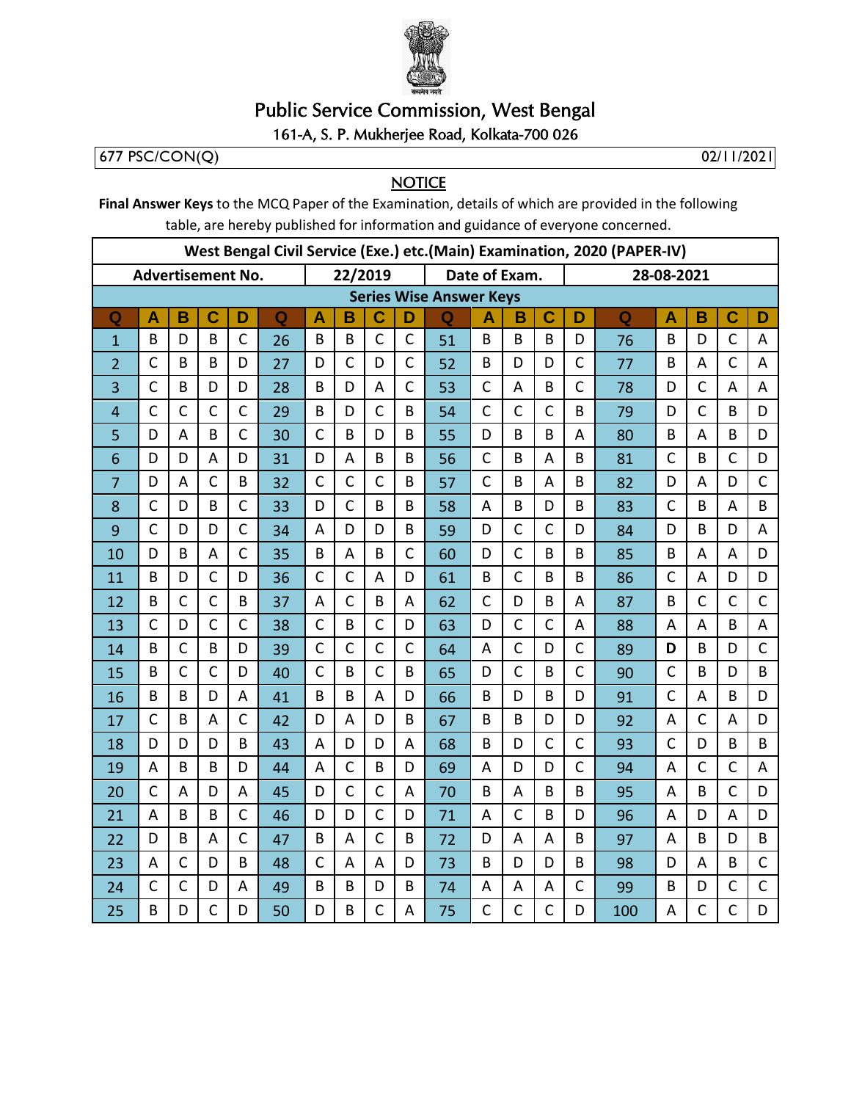

## **Public Service Commission, West Bengal**

## 161-A, S. P. Mukherjee Road, Kolkata-700 026

 $677 PSC/CON(Q)$ 

02/11/2021

## **NOTICE**

Final Answer Keys to the MCQ Paper of the Examination, details of which are provided in the following table, are hereby published for information and guidance of everyone concerned.

| West Bengal Civil Service (Exe.) etc. (Main) Examination, 2020 (PAPER-IV) |                         |              |                |              |    |              |                                |                |              |               |              |              |                |                |     |                         |                |              |              |
|---------------------------------------------------------------------------|-------------------------|--------------|----------------|--------------|----|--------------|--------------------------------|----------------|--------------|---------------|--------------|--------------|----------------|----------------|-----|-------------------------|----------------|--------------|--------------|
|                                                                           | Advertisement No.       |              |                |              |    | 22/2019      |                                |                |              | Date of Exam. |              |              |                | 28-08-2021     |     |                         |                |              |              |
|                                                                           |                         |              |                |              |    |              | <b>Series Wise Answer Keys</b> |                |              |               |              |              |                |                |     |                         |                |              |              |
| $\mathbf Q$                                                               | $\overline{\mathsf{A}}$ | B            | C              | D            | Q  | A            | B                              | C              | D            | $\mathbf Q$   | A            | B            | $\mathbf C$    | D              | Q   | $\overline{\mathsf{A}}$ | B              | C            | D            |
| $\mathbf{1}$                                                              | B                       | D            | B              | $\mathsf{C}$ | 26 | B            | B                              | $\mathsf{C}$   | $\mathsf{C}$ | 51            | B            | B            | B              | D              | 76  | B                       | D              | $\mathsf{C}$ | A            |
| $\overline{2}$                                                            | $\mathsf{C}$            | B            | B              | D            | 27 | D            | $\mathsf{C}$                   | D              | $\mathsf{C}$ | 52            | B            | D            | D              | $\mathsf{C}$   | 77  | B                       | $\overline{A}$ | $\mathsf{C}$ | A            |
| 3                                                                         | $\mathsf C$             | B            | D              | D            | 28 | B            | D                              | А              | $\mathsf{C}$ | 53            | $\mathsf{C}$ | A            | B              | $\mathsf{C}$   | 78  | D                       | $\mathsf{C}$   | Α            | A            |
| $\overline{4}$                                                            | $\mathsf{C}$            | $\mathsf{C}$ | $\mathsf{C}$   | $\mathsf{C}$ | 29 | B            | D                              | $\mathsf{C}$   | B            | 54            | $\mathsf{C}$ | $\mathsf{C}$ | $\mathsf{C}$   | B              | 79  | D                       | $\mathsf{C}$   | B            | D            |
| 5                                                                         | D                       | A            | B              | $\mathsf{C}$ | 30 | $\mathsf{C}$ | B                              | D              | B            | 55            | D            | B            | B              | A              | 80  | B                       | A              | B            | D            |
| 6                                                                         | D                       | D            | A              | D            | 31 | D            | A                              | B              | B            | 56            | $\mathsf{C}$ | B            | A              | B              | 81  | $\mathsf{C}$            | B              | $\mathsf{C}$ | D            |
| 7                                                                         | D                       | A            | $\mathsf{C}$   | B            | 32 | $\mathsf{C}$ | $\mathsf{C}$                   | $\mathsf{C}$   | B            | 57            | $\mathsf{C}$ | B            | A              | B              | 82  | D                       | A              | D            | $\mathsf{C}$ |
| 8                                                                         | $\mathsf{C}$            | D            | B              | $\mathsf{C}$ | 33 | D            | $\mathsf{C}$                   | B              | B            | 58            | A            | B            | D              | B              | 83  | $\mathsf{C}$            | B              | A            | B            |
| 9                                                                         | $\mathsf{C}$            | D            | D              | $\mathsf{C}$ | 34 | A            | D                              | D              | B            | 59            | D            | $\mathsf{C}$ | $\mathsf{C}$   | D              | 84  | D                       | B              | D            | A            |
| 10                                                                        | D                       | B            | A              | $\mathsf{C}$ | 35 | B            | A                              | B              | $\mathsf{C}$ | 60            | D            | $\mathsf{C}$ | B              | B              | 85  | B                       | A              | A            | D            |
| 11                                                                        | B                       | D            | $\mathsf{C}$   | D            | 36 | $\mathsf{C}$ | $\mathsf{C}$                   | A              | D            | 61            | B            | $\mathsf{C}$ | B              | B              | 86  | $\mathsf{C}$            | A              | D            | D            |
| 12                                                                        | B                       | $\mathsf{C}$ | $\mathsf{C}$   | B            | 37 | A            | $\mathsf{C}$                   | B              | A            | 62            | $\mathsf{C}$ | D            | B              | $\overline{A}$ | 87  | B                       | $\overline{C}$ | $\mathsf{C}$ | $\mathsf{C}$ |
| 13                                                                        | $\mathsf{C}$            | D            | $\mathsf{C}$   | $\mathsf{C}$ | 38 | $\mathsf{C}$ | B                              | $\mathsf{C}$   | D            | 63            | D            | $\mathsf{C}$ | $\mathsf{C}$   | A              | 88  | A                       | A              | B            | A            |
| 14                                                                        | B                       | $\mathsf{C}$ | B              | D            | 39 | $\mathsf{C}$ | $\mathsf{C}$                   | $\mathsf{C}$   | $\mathsf{C}$ | 64            | A            | $\mathsf{C}$ | D              | $\mathsf{C}$   | 89  | D                       | B              | D            | $\mathsf{C}$ |
| 15                                                                        | B                       | $\mathsf{C}$ | $\mathsf{C}$   | D            | 40 | $\mathsf{C}$ | B                              | $\mathsf{C}$   | B            | 65            | D            | $\mathsf{C}$ | B              | $\mathsf{C}$   | 90  | $\mathsf{C}$            | B              | D            | B            |
| 16                                                                        | B                       | B            | D              | A            | 41 | B            | B                              | A              | D            | 66            | B            | D            | B              | D              | 91  | $\mathsf{C}$            | A              | B            | D            |
| 17                                                                        | $\mathsf{C}$            | B            | $\overline{A}$ | $\mathsf{C}$ | 42 | D            | A                              | D              | B            | 67            | B            | B            | D              | D              | 92  | A                       | $\overline{C}$ | A            | D            |
| 18                                                                        | D                       | D            | D              | B            | 43 | A            | D                              | D              | A            | 68            | B            | D            | $\mathsf{C}$   | $\mathsf{C}$   | 93  | $\mathsf{C}$            | D              | B            | B            |
| 19                                                                        | A                       | B            | B              | D            | 44 | A            | $\mathsf{C}$                   | B              | D            | 69            | A            | D            | D              | $\mathsf{C}$   | 94  | A                       | $\mathsf{C}$   | $\mathsf{C}$ | A            |
| 20                                                                        | $\mathsf{C}$            | A            | D              | A            | 45 | D            | $\mathsf{C}$                   | $\mathsf{C}$   | A            | 70            | B            | A            | B              | B              | 95  | A                       | B              | $\mathsf{C}$ | D            |
| 21                                                                        | $\overline{A}$          | B            | B              | $\mathsf{C}$ | 46 | D            | D                              | $\mathsf{C}$   | D            | 71            | A            | $\mathsf{C}$ | B              | D              | 96  | A                       | D              | A            | D            |
| 22                                                                        | D                       | B            | $\overline{A}$ | $\mathsf{C}$ | 47 | B            | A                              | $\overline{C}$ | B            | 72            | D            | A            | $\overline{A}$ | B              | 97  | A                       | B              | D            | B            |
| 23                                                                        | A                       | $\mathsf{C}$ | D              | B            | 48 | $\mathsf{C}$ | A                              | A              | D            | 73            | B            | D            | D              | B              | 98  | D                       | A              | B            | $\mathsf{C}$ |
| 24                                                                        | $\mathsf{C}$            | $\mathsf{C}$ | D              | A            | 49 | B            | B                              | D              | B            | 74            | A            | A            | A              | $\mathsf{C}$   | 99  | B                       | D              | $\mathsf{C}$ | $\mathsf{C}$ |
| 25                                                                        | B                       | D            | $\mathsf{C}$   | D            | 50 | D            | B                              | Ć              | A            | 75            | $\mathsf{C}$ | $\mathsf{C}$ | $\mathsf{C}$   | D              | 100 | A                       | $\mathsf{C}$   | $\mathsf{C}$ | D            |